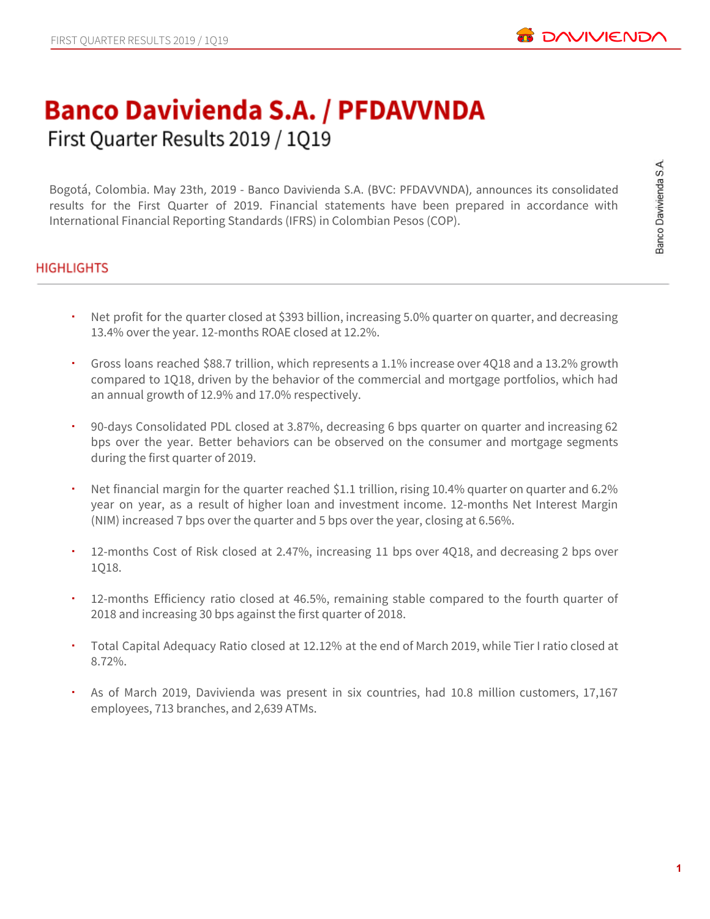# **Banco Davivienda S.A. / PFDAVVNDA** First Quarter Results 2019 / 1Q19

Bogotá, Colombia. May 23th, 2019 - Banco Davivienda S.A. (BVC: PFDAVVNDA), announces its consolidated results for the First Quarter of 2019. Financial statements have been prepared in accordance with International Financial Reporting Standards (IFRS) in Colombian Pesos (COP).

## **HIGHLIGHTS**

- Net profit for the quarter closed at \$393 billion, increasing 5.0% quarter on quarter, and decreasing 13.4% over the year. 12-months ROAE closed at 12.2%.
- Gross loans reached \$88.7 trillion, which represents a 1.1% increase over 4Q18 and a 13.2% growth compared to 1Q18, driven by the behavior of the commercial and mortgage portfolios, which had an annual growth of 12.9% and 17.0% respectively.
- 90-days Consolidated PDL closed at 3.87%, decreasing 6 bps quarter on quarter and increasing 62 bps over the year. Better behaviors can be observed on the consumer and mortgage segments during the first quarter of 2019.
- Net financial margin for the quarter reached \$1.1 trillion, rising 10.4% quarter on quarter and 6.2% year on year, as a result of higher loan and investment income. 12-months Net Interest Margin (NIM) increased 7 bps over the quarter and 5 bps over the year, closing at 6.56%.
- 12-months Cost of Risk closed at 2.47%, increasing 11 bps over 4Q18, and decreasing 2 bps over 1Q18.
- 12-months Efficiency ratio closed at 46.5%, remaining stable compared to the fourth quarter of 2018 and increasing 30 bps against the first quarter of 2018.
- Total Capital Adequacy Ratio closed at 12.12% at the end of March 2019, while Tier I ratio closed at 8.72%.
- As of March 2019, Davivienda was present in six countries, had 10.8 million customers, 17,167 employees, 713 branches, and 2,639 ATMs.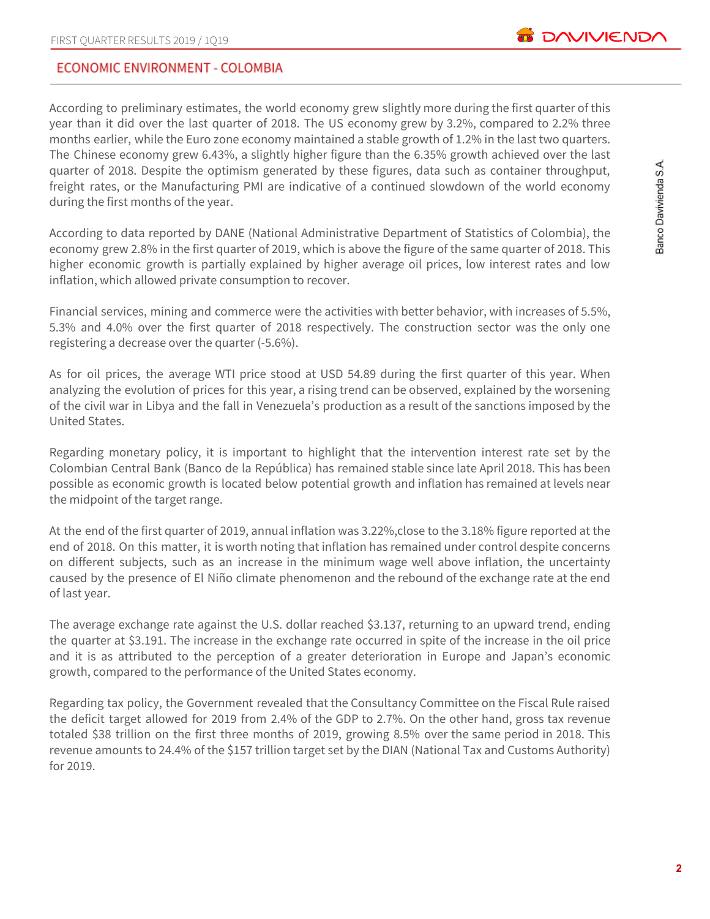## ECONOMIC ENVIRONMENT - COLOMBIA

According to preliminary estimates, the world economy grew slightly more during the first quarter of this year than it did over the last quarter of 2018. The US economy grew by 3.2%, compared to 2.2% three months earlier, while the Euro zone economy maintained a stable growth of 1.2% in the last two quarters. The Chinese economy grew 6.43%, a slightly higher figure than the 6.35% growth achieved over the last quarter of 2018. Despite the optimism generated by these figures, data such as container throughput, freight rates, or the Manufacturing PMI are indicative of a continued slowdown of the world economy during the first months of the year.

According to data reported by DANE (National Administrative Department of Statistics of Colombia), the economy grew 2.8% in the first quarter of 2019, which is above the figure of the same quarter of 2018. This higher economic growth is partially explained by higher average oil prices, low interest rates and low inflation, which allowed private consumption to recover.

Financial services, mining and commerce were the activities with better behavior, with increases of 5.5%, 5.3% and 4.0% over the first quarter of 2018 respectively. The construction sector was the only one registering a decrease over the quarter (-5.6%).

As for oil prices, the average WTI price stood at USD 54.89 during the first quarter of this year. When analyzing the evolution of prices for this year, a rising trend can be observed, explained by the worsening of the civil war in Libya and the fall in Venezuela's production as a result of the sanctions imposed by the United States.

Regarding monetary policy, it is important to highlight that the intervention interest rate set by the Colombian Central Bank (Banco de la República) has remained stable since late April 2018. This has been possible as economic growth is located below potential growth and inflation has remained at levels near the midpoint of the target range.

At the end of the first quarter of 2019, annual inflation was 3.22%,close to the 3.18% figure reported at the end of 2018. On this matter, it is worth noting that inflation has remained under control despite concerns on different subjects, such as an increase in the minimum wage well above inflation, the uncertainty caused by the presence of El Niño climate phenomenon and the rebound of the exchange rate at the end of last year.

The average exchange rate against the U.S. dollar reached \$3.137, returning to an upward trend, ending the quarter at \$3.191. The increase in the exchange rate occurred in spite of the increase in the oil price and it is as attributed to the perception of a greater deterioration in Europe and Japan's economic growth, compared to the performance of the United States economy.

Regarding tax policy, the Government revealed that the Consultancy Committee on the Fiscal Rule raised the deficit target allowed for 2019 from 2.4% of the GDP to 2.7%. On the other hand, gross tax revenue totaled \$38 trillion on the first three months of 2019, growing 8.5% over the same period in 2018. This revenue amounts to 24.4% of the \$157 trillion target set by the DIAN (National Tax and Customs Authority) for 2019.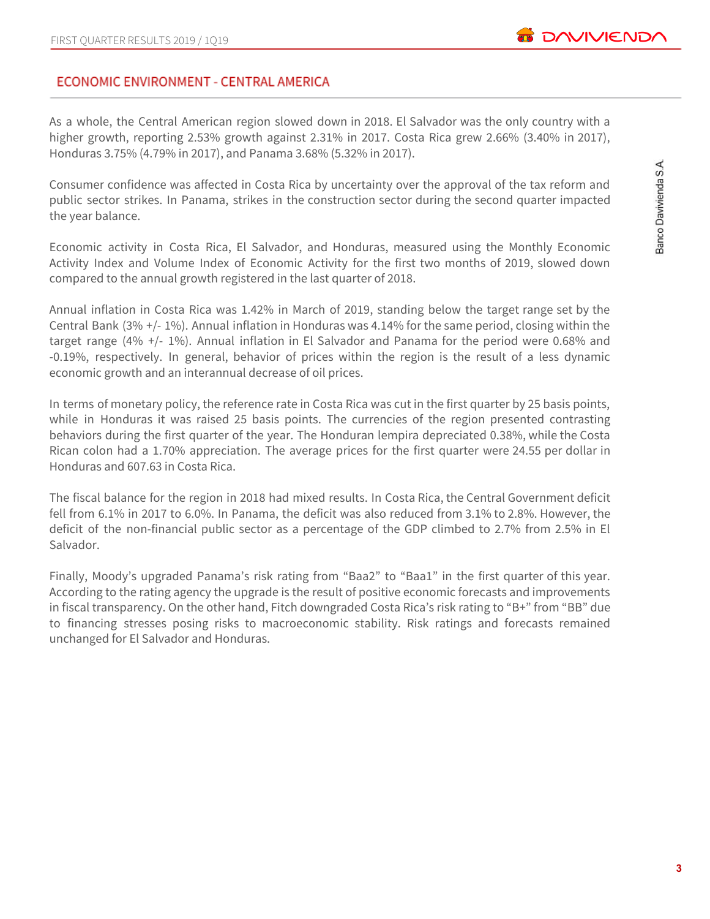## ECONOMIC ENVIRONMENT - CENTRAL AMERICA

As a whole, the Central American region slowed down in 2018. El Salvador was the only country with a higher growth, reporting 2.53% growth against 2.31% in 2017. Costa Rica grew 2.66% (3.40% in 2017), Honduras 3.75% (4.79% in 2017), and Panama 3.68% (5.32% in 2017).

Consumer confidence was affected in Costa Rica by uncertainty over the approval of the tax reform and public sector strikes. In Panama, strikes in the construction sector during the second quarter impacted the year balance.

Economic activity in Costa Rica, El Salvador, and Honduras, measured using the Monthly Economic Activity Index and Volume Index of Economic Activity for the first two months of 2019, slowed down compared to the annual growth registered in the last quarter of 2018.

Annual inflation in Costa Rica was 1.42% in March of 2019, standing below the target range set by the Central Bank (3% +/- 1%). Annual inflation in Honduras was 4.14% for the same period, closing within the target range (4% +/- 1%). Annual inflation in El Salvador and Panama for the period were 0.68% and -0.19%, respectively. In general, behavior of prices within the region is the result of a less dynamic economic growth and an interannual decrease of oil prices.

In terms of monetary policy, the reference rate in Costa Rica was cut in the first quarter by 25 basis points, while in Honduras it was raised 25 basis points. The currencies of the region presented contrasting behaviors during the first quarter of the year. The Honduran lempira depreciated 0.38%, while the Costa Rican colon had a 1.70% appreciation. The average prices for the first quarter were 24.55 per dollar in Honduras and 607.63 in Costa Rica.

The fiscal balance for the region in 2018 had mixed results. In Costa Rica, the Central Government deficit fell from 6.1% in 2017 to 6.0%. In Panama, the deficit was also reduced from 3.1% to 2.8%. However, the deficit of the non-financial public sector as a percentage of the GDP climbed to 2.7% from 2.5% in El Salvador.

Finally, Moody's upgraded Panama's risk rating from "Baa2" to "Baa1" in the first quarter of this year. According to the rating agency the upgrade is the result of positive economic forecasts and improvements in fiscal transparency. On the other hand, Fitch downgraded Costa Rica's risk rating to "B+" from "BB" due to financing stresses posing risks to macroeconomic stability. Risk ratings and forecasts remained unchanged for El Salvador and Honduras.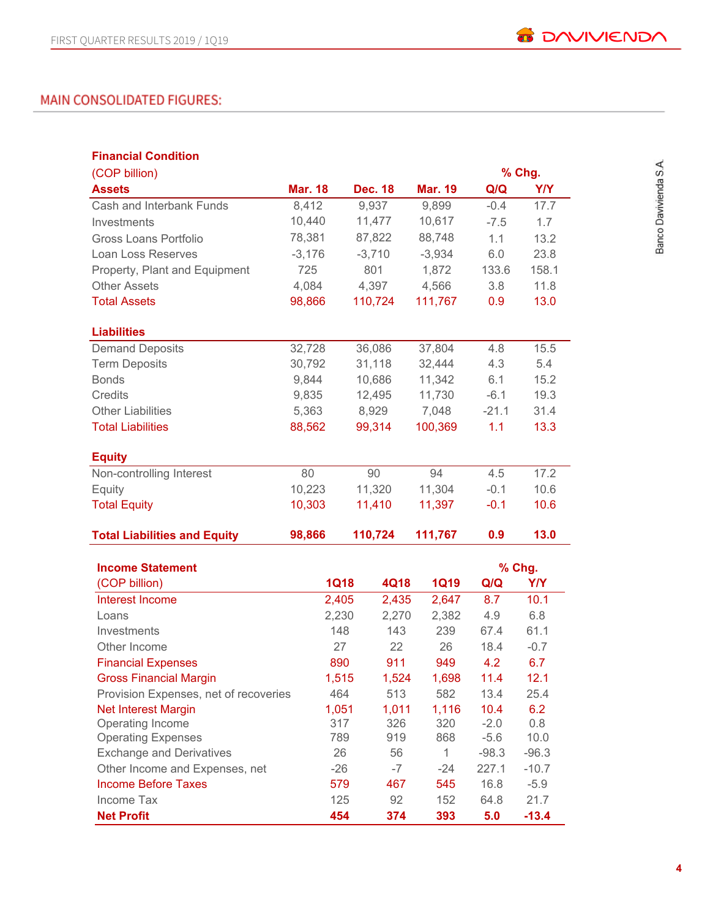# MAIN CONSOLIDATED FIGURES:

| <b>Financial Condition</b>            |                |             |                |          |                |         |            |
|---------------------------------------|----------------|-------------|----------------|----------|----------------|---------|------------|
| (COP billion)                         |                |             |                |          |                |         | % Chg.     |
| <b>Assets</b>                         | <b>Mar. 18</b> |             | <b>Dec. 18</b> |          | <b>Mar. 19</b> | Q/Q     | <b>Y/Y</b> |
| Cash and Interbank Funds              | 8,412          |             | 9,937          |          | 9,899          | $-0.4$  | 17.7       |
| Investments                           | 10,440         |             | 11,477         |          | 10,617         | $-7.5$  | 1.7        |
| Gross Loans Portfolio                 | 78,381         |             | 87,822         | 88,748   |                | 1.1     | 13.2       |
| Loan Loss Reserves                    | $-3,176$       |             | $-3,710$       | $-3,934$ |                | 6.0     | 23.8       |
| Property, Plant and Equipment         | 725            |             | 801            |          | 1,872          | 133.6   | 158.1      |
| <b>Other Assets</b>                   | 4,084          |             | 4,397          | 4,566    |                | 3.8     | 11.8       |
| <b>Total Assets</b>                   | 98,866         |             | 110,724        | 111,767  |                | 0.9     | 13.0       |
| <b>Liabilities</b>                    |                |             |                |          |                |         |            |
| <b>Demand Deposits</b>                | 32,728         |             | 36,086         | 37,804   |                | 4.8     | 15.5       |
| <b>Term Deposits</b>                  | 30,792         |             | 31,118         | 32,444   |                | 4.3     | 5.4        |
| <b>Bonds</b>                          | 9,844          |             | 10,686         |          | 11,342         | 6.1     | 15.2       |
| <b>Credits</b>                        | 9,835          |             | 12,495         |          | 11,730         | $-6.1$  | 19.3       |
| <b>Other Liabilities</b>              | 5,363          |             | 8,929          |          | 7,048          | $-21.1$ | 31.4       |
| <b>Total Liabilities</b>              | 88,562         |             | 99,314         | 100,369  |                | 1.1     | 13.3       |
| <b>Equity</b>                         |                |             |                |          |                |         |            |
| Non-controlling Interest              | 80             |             | 90             | 94       |                | 4.5     | 17.2       |
| Equity                                | 10,223         |             | 11,320         | 11,304   |                | $-0.1$  | 10.6       |
| <b>Total Equity</b>                   | 10,303         |             | 11,410         |          | 11,397         | $-0.1$  | 10.6       |
| <b>Total Liabilities and Equity</b>   | 98,866         |             | 110,724        | 111,767  |                | 0.9     | 13.0       |
| <b>Income Statement</b>               |                |             |                |          |                |         | % Chg.     |
| (COP billion)                         |                | <b>1Q18</b> | 4Q18           |          | <b>1Q19</b>    | Q/Q     | <b>Y/Y</b> |
| Interest Income                       |                | 2,405       | 2,435          |          | 2,647          | 8.7     | 10.1       |
| Loans                                 |                | 2,230       | 2,270          |          | 2,382          | 4.9     | 6.8        |
| Investments                           |                | 148         | 143            |          | 239            | 67.4    | 61.1       |
| Other Income                          |                | 27          | 22             |          | 26             | 18.4    | $-0.7$     |
| <b>Financial Expenses</b>             |                | 890         | 911            |          | 949            | 4.2     | 6.7        |
| <b>Gross Financial Margin</b>         |                | 1,515       | 1,524          |          | 1,698          | 11.4    | 12.1       |
| Provision Expenses, net of recoveries |                | 464         | 513            |          | 582            | 13.4    | 25.4       |
| <b>Net Interest Margin</b>            |                | 1,051       | 1,011          |          | 1,116          | 10.4    | 6.2        |
| Operating Income                      |                | 317         | 326            |          | 320            | $-2.0$  | 0.8        |
| <b>Operating Expenses</b>             |                | 789         | 919            |          | 868            | $-5.6$  | 10.0       |
| <b>Exchange and Derivatives</b>       |                | 26          | 56             |          | $\mathbf{1}$   | $-98.3$ | $-96.3$    |
| Other Income and Expenses, net        |                | $-26$       | $-7$           |          | $-24$          | 227.1   | $-10.7$    |
| <b>Income Before Taxes</b>            |                | 579         | 467            |          | 545            | 16.8    | $-5.9$     |
| Income Tax                            |                | 125         | 92             |          | 152            | 64.8    | 21.7       |
| <b>Net Profit</b>                     |                | 454         | 374            |          | 393            | 5.0     | $-13.4$    |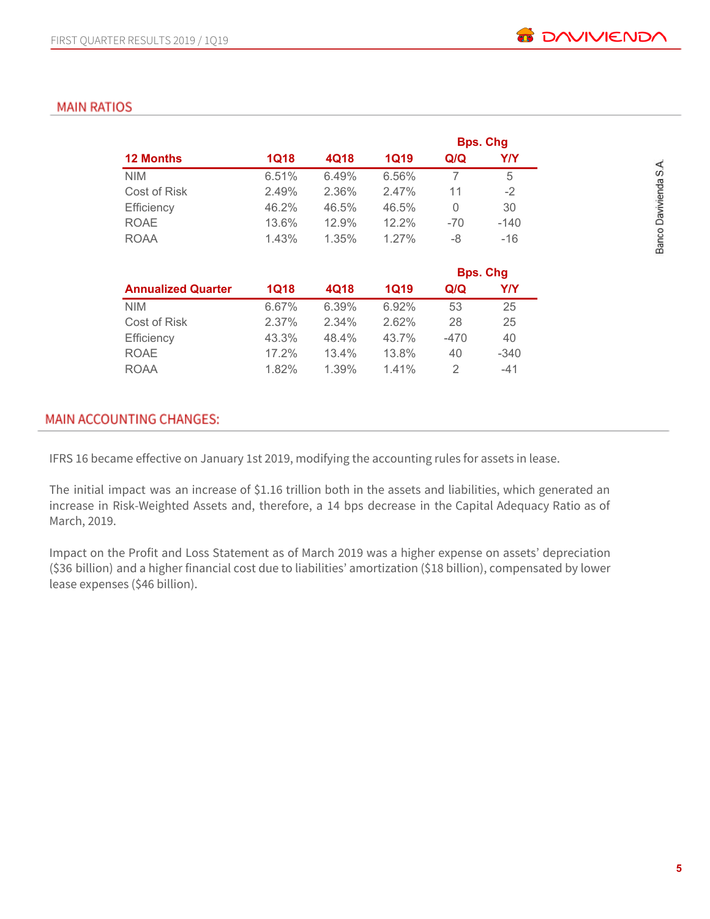# **MAIN RATIOS**

|                  |       |       |             |       | <b>Bps. Chg</b> |
|------------------|-------|-------|-------------|-------|-----------------|
| <b>12 Months</b> | 1Q18  | 4Q18  | <b>1Q19</b> | Q/Q   | Y/Y             |
| <b>NIM</b>       | 6.51% | 6.49% | 6.56%       |       | 5               |
| Cost of Risk     | 2.49% | 2.36% | 2.47%       | 11    | $-2$            |
| Efficiency       | 46.2% | 46.5% | 46.5%       | 0     | 30              |
| <b>ROAE</b>      | 13.6% | 12.9% | 12.2%       | $-70$ | $-140$          |
| <b>ROAA</b>      | 1.43% | 1.35% | 1.27%       | -8    | $-16$           |

|                           |             |       |       |        | <b>Bps. Chg</b> |
|---------------------------|-------------|-------|-------|--------|-----------------|
| <b>Annualized Quarter</b> | <b>1Q18</b> | 4Q18  | 1Q19  | Q/Q    | Y/Y             |
| <b>NIM</b>                | 6.67%       | 6.39% | 6.92% | 53     | 25              |
| Cost of Risk              | 2.37%       | 2.34% | 2.62% | 28     | 25              |
| Efficiency                | 43.3%       | 48.4% | 43.7% | $-470$ | 40              |
| <b>ROAE</b>               | 17.2%       | 13.4% | 13.8% | 40     | $-340$          |
| <b>ROAA</b>               | 1.82%       | 1.39% | 1.41% |        | $-41$           |

# **MAIN ACCOUNTING CHANGES:**

IFRS 16 became effective on January 1st 2019, modifying the accounting rules for assets in lease.

The initial impact was an increase of \$1.16 trillion both in the assets and liabilities, which generated an increase in Risk-Weighted Assets and, therefore, a 14 bps decrease in the Capital Adequacy Ratio as of March, 2019.

Impact on the Profit and Loss Statement as of March 2019 was a higher expense on assets' depreciation (\$36 billion) and a higher financial cost due to liabilities' amortization (\$18 billion), compensated by lower lease expenses (\$46 billion).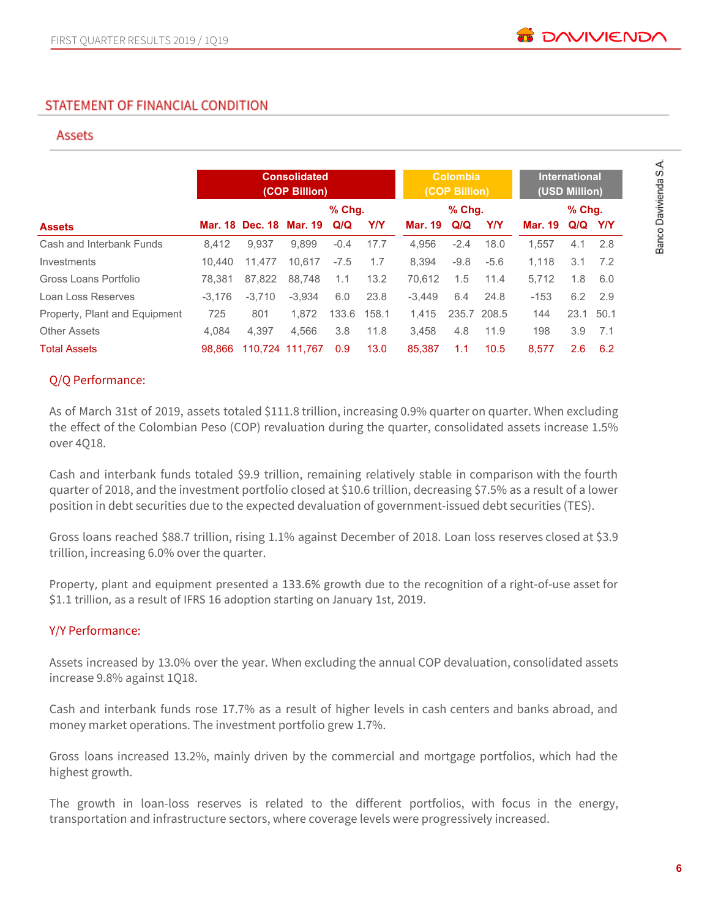# STATEMENT OF FINANCIAL CONDITION

#### **Assets**

|                               |          |                         | <b>Consolidated</b><br>(COP Billion) |          |       |                | <b>Colombia</b><br>(COP Billion) |             |                | <b>International</b><br>(USD Million) |         |
|-------------------------------|----------|-------------------------|--------------------------------------|----------|-------|----------------|----------------------------------|-------------|----------------|---------------------------------------|---------|
|                               |          |                         |                                      | $%$ Chg. |       |                | $%$ Chg.                         |             |                | $%$ Chq.                              |         |
| <b>Assets</b>                 |          | Mar. 18 Dec. 18 Mar. 19 |                                      | Q/Q      | Y/Y   | <b>Mar. 19</b> | Q/Q                              | YN          | <b>Mar. 19</b> |                                       | Q/Q Y/Y |
| Cash and Interbank Funds      | 8.412    | 9.937                   | 9.899                                | $-0.4$   | 17.7  | 4.956          | $-2.4$                           | 18.0        | 1.557          | 4.1                                   | 2.8     |
| Investments                   | 10.440   | 11.477                  | 10.617                               | $-7.5$   | 1.7   | 8.394          | $-9.8$                           | $-5.6$      | 1.118          | 3.1                                   | 7.2     |
| Gross Loans Portfolio         | 78.381   | 87.822                  | 88.748                               | 1.1      | 13.2  | 70.612         | 1.5                              | 11.4        | 5.712          | 1.8                                   | 6.0     |
| Loan Loss Reserves            | $-3.176$ | $-3.710$                | $-3.934$                             | 6.0      | 23.8  | $-3.449$       | 6.4                              | 24.8        | $-153$         | 6.2                                   | 2.9     |
| Property, Plant and Equipment | 725      | 801                     | 1.872                                | 133.6    | 158.1 | 1,415          |                                  | 235.7 208.5 | 144            | 23.1                                  | 50.1    |
| <b>Other Assets</b>           | 4.084    | 4.397                   | 4.566                                | 3.8      | 11.8  | 3.458          | 4.8                              | 11.9        | 198            | 3.9                                   | 7.1     |
| <b>Total Assets</b>           | 98.866   |                         | 110.724 111.767                      | 0.9      | 13.0  | 85.387         | 1.1                              | 10.5        | 8.577          | 2.6                                   | 6.2     |

## Q/Q Performance:

As of March 31st of 2019, assets totaled \$111.8 trillion, increasing 0.9% quarter on quarter. When excluding the effect of the Colombian Peso (COP) revaluation during the quarter, consolidated assets increase 1.5% over 4Q18.

Cash and interbank funds totaled \$9.9 trillion, remaining relatively stable in comparison with the fourth quarter of 2018, and the investment portfolio closed at \$10.6 trillion, decreasing \$7.5% as a result of a lower position in debt securities due to the expected devaluation of government-issued debt securities (TES).

Gross loans reached \$88.7 trillion, rising 1.1% against December of 2018. Loan loss reserves closed at \$3.9 trillion, increasing 6.0% over the quarter.

Property, plant and equipment presented a 133.6% growth due to the recognition of a right-of-use asset for \$1.1 trillion, as a result of IFRS 16 adoption starting on January 1st, 2019.

#### Y/Y Performance:

Assets increased by 13.0% over the year. When excluding the annual COP devaluation, consolidated assets increase 9.8% against 1Q18.

Cash and interbank funds rose 17.7% as a result of higher levels in cash centers and banks abroad, and money market operations. The investment portfolio grew 1.7%.

Gross loans increased 13.2%, mainly driven by the commercial and mortgage portfolios, which had the highest growth.

The growth in loan-loss reserves is related to the different portfolios, with focus in the energy, transportation and infrastructure sectors, where coverage levels were progressively increased.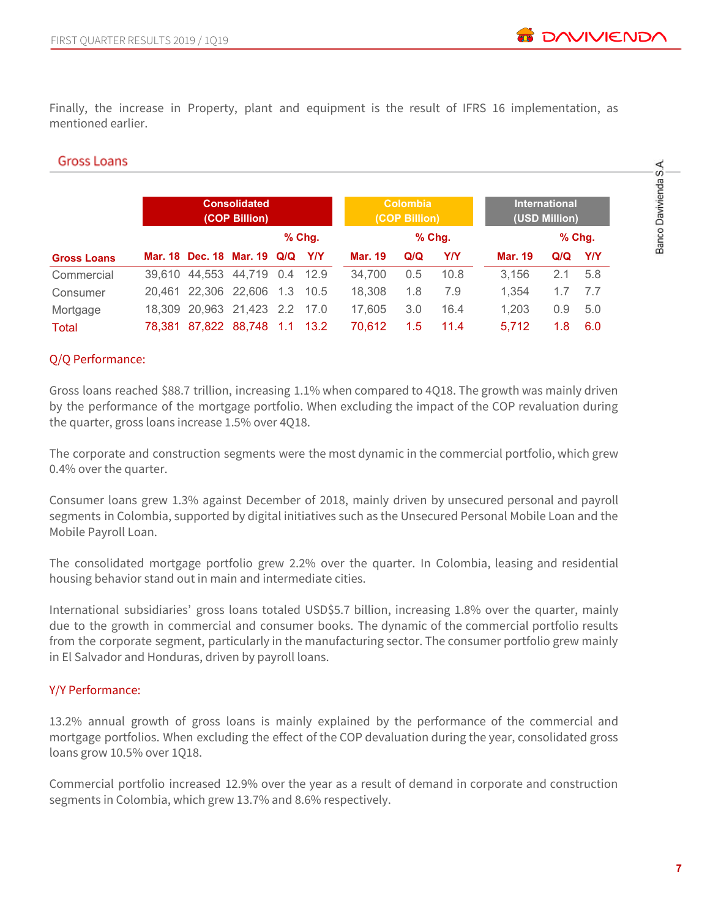Finally, the increase in Property, plant and equipment is the result of IFRS 16 implementation, as mentioned earlier.

#### **Gross Loans**

|                    |        |                               | <b>Consolidated</b><br>(COP Billion) |     |            |                | <b>Colombia</b><br>(COP Billion) |          |                | <b>International</b><br>(USD Million) |            |
|--------------------|--------|-------------------------------|--------------------------------------|-----|------------|----------------|----------------------------------|----------|----------------|---------------------------------------|------------|
|                    |        |                               |                                      |     | $%$ Chg.   |                |                                  | $%$ Chg. |                |                                       | $%$ Chg.   |
| <b>Gross Loans</b> |        | Mar. 18 Dec. 18 Mar. 19 Q/Q   |                                      |     | <b>Y/Y</b> | <b>Mar. 19</b> | Q/Q                              | Y/Y      | <b>Mar. 19</b> | Q/Q                                   | <b>Y/Y</b> |
| Commercial         | 39.610 | 44.553                        | 44,719 0.4 12.9                      |     |            | 34.700         | 0.5                              | 10.8     | 3,156          | 2.1                                   | 5.8        |
| Consumer           | 20.461 | 22,306 22,606                 |                                      | 1.3 | - 10.5     | 18.308         | 1.8                              | 7.9      | 1.354          |                                       | 7.7        |
| Mortgage           |        | 18.309 20.963 21.423 2.2 17.0 |                                      |     |            | 17.605         | 3.0                              | 16.4     | 1,203          | 0.9                                   | 5.0        |
| Total              | 78.381 |                               | 87,822 88,748                        | 1.1 | -13.2      | 70.612         | 1.5                              | 11.4     | 5.712          | 1.8                                   | 6.0        |

#### Q/Q Performance:

Gross loans reached \$88.7 trillion, increasing 1.1% when compared to 4Q18. The growth was mainly driven by the performance of the mortgage portfolio. When excluding the impact of the COP revaluation during the quarter, gross loans increase 1.5% over 4Q18.

The corporate and construction segments were the most dynamic in the commercial portfolio, which grew 0.4% over the quarter.

Consumer loans grew 1.3% against December of 2018, mainly driven by unsecured personal and payroll segments in Colombia, supported by digital initiatives such as the Unsecured Personal Mobile Loan and the Mobile Payroll Loan.

The consolidated mortgage portfolio grew 2.2% over the quarter. In Colombia, leasing and residential housing behavior stand out in main and intermediate cities.

International subsidiaries' gross loans totaled USD\$5.7 billion, increasing 1.8% over the quarter, mainly due to the growth in commercial and consumer books. The dynamic of the commercial portfolio results from the corporate segment, particularly in the manufacturing sector. The consumer portfolio grew mainly in El Salvador and Honduras, driven by payroll loans.

## Y/Y Performance:

13.2% annual growth of gross loans is mainly explained by the performance of the commercial and mortgage portfolios. When excluding the effect of the COP devaluation during the year, consolidated gross loans grow 10.5% over 1Q18.

Commercial portfolio increased 12.9% over the year as a result of demand in corporate and construction segments in Colombia, which grew 13.7% and 8.6% respectively.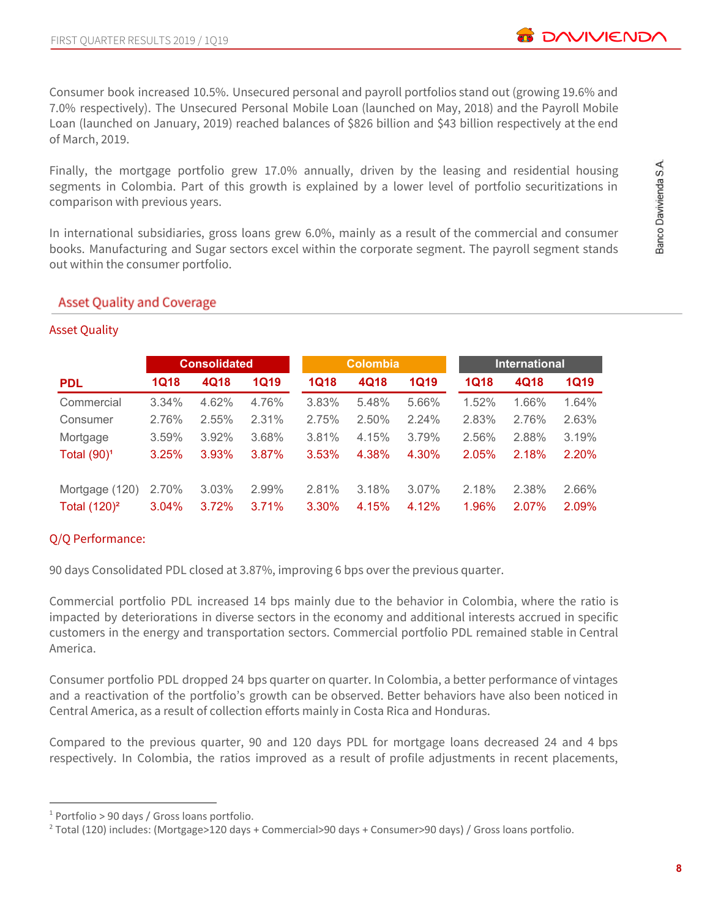Finally, the mortgage portfolio grew 17.0% annually, driven by the leasing and residential housing segments in Colombia. Part of this growth is explained by a lower level of portfolio securitizations in comparison with previous years.

In international subsidiaries, gross loans grew 6.0%, mainly as a result of the commercial and consumer books. Manufacturing and Sugar sectors excel within the corporate segment. The payroll segment stands out within the consumer portfolio.

#### **Asset Quality and Coverage**

|                 |             | <b>Consolidated</b> |             |             | <b>Colombia</b> |             |             | <b>International</b> |       |
|-----------------|-------------|---------------------|-------------|-------------|-----------------|-------------|-------------|----------------------|-------|
| <b>PDL</b>      | <b>1Q18</b> | 4Q18                | <b>1Q19</b> | <b>1Q18</b> | 4Q18            | <b>1Q19</b> | <b>1Q18</b> | 4Q18                 | 1Q19  |
| Commercial      | 3.34%       | 4.62%               | 4.76%       | 3.83%       | 5.48%           | 5.66%       | 1.52%       | 1.66%                | 1.64% |
| Consumer        | 2.76%       | 2.55%               | 2.31%       | 2.75%       | 2.50%           | 2.24%       | 2.83%       | 2.76%                | 2.63% |
| Mortgage        | 3.59%       | 3.92%               | 3.68%       | 3.81%       | 4.15%           | 3.79%       | 2.56%       | 2.88%                | 3.19% |
| Total $(90)^1$  | 3.25%       | 3.93%               | 3.87%       | 3.53%       | 4.38%           | 4.30%       | 2.05%       | 2.18%                | 2.20% |
| Mortgage (120)  | 2.70%       | 3.03%               | 2.99%       | 2.81%       | 3.18%           | 3.07%       | 2.18%       | 2.38%                | 2.66% |
| Total $(120)^2$ | 3.04%       | 3.72%               | 3.71%       | 3.30%       | 4.15%           | 4.12%       | 1.96%       | 2.07%                | 2.09% |

# Asset Quality

## Q/Q Performance:

90 days Consolidated PDL closed at 3.87%, improving 6 bps over the previous quarter.

Commercial portfolio PDL increased 14 bps mainly due to the behavior in Colombia, where the ratio is impacted by deteriorations in diverse sectors in the economy and additional interests accrued in specific customers in the energy and transportation sectors. Commercial portfolio PDL remained stable in Central America.

Consumer portfolio PDL dropped 24 bps quarter on quarter. In Colombia, a better performance of vintages and a reactivation of the portfolio's growth can be observed. Better behaviors have also been noticed in Central America, as a result of collection efforts mainly in Costa Rica and Honduras.

Compared to the previous quarter, 90 and 120 days PDL for mortgage loans decreased 24 and 4 bps respectively. In Colombia, the ratios improved as a result of profile adjustments in recent placements,

**B** DAVIVIEND

<sup>1</sup> Portfolio > 90 days / Gross loans portfolio.

<sup>2</sup> Total (120) includes: (Mortgage>120 days + Commercial>90 days + Consumer>90 days) / Gross loans portfolio.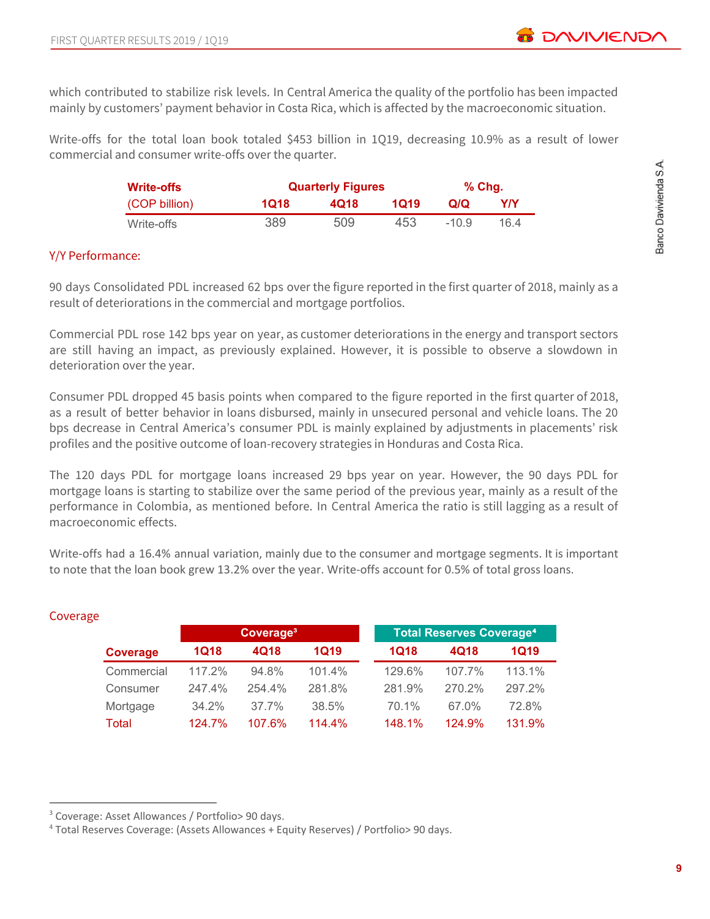which contributed to stabilize risk levels. In Central America the quality of the portfolio has been impacted mainly by customers' payment behavior in Costa Rica, which is affected by the macroeconomic situation.

Write-offs for the total loan book totaled \$453 billion in 1Q19, decreasing 10.9% as a result of lower commercial and consumer write-offs over the quarter.

| <b>Write-offs</b> |      | <b>Quarterly Figures</b> |      | $%$ Chq. |      |
|-------------------|------|--------------------------|------|----------|------|
| (COP billion)     | 1Q18 | 4018                     | 1019 | Q/Q      | Y/Y  |
| Write-offs        | 389  | 509                      | 453  | $-10.9$  | 16 4 |

#### Y/Y Performance:

90 days Consolidated PDL increased 62 bps over the figure reported in the first quarter of 2018, mainly as a result of deteriorations in the commercial and mortgage portfolios.

Commercial PDL rose 142 bps year on year, as customer deteriorations in the energy and transport sectors are still having an impact, as previously explained. However, it is possible to observe a slowdown in deterioration over the year.

Consumer PDL dropped 45 basis points when compared to the figure reported in the first quarter of 2018, as a result of better behavior in loans disbursed, mainly in unsecured personal and vehicle loans. The 20 bps decrease in Central America's consumer PDL is mainly explained by adjustments in placements' risk profiles and the positive outcome of loan-recovery strategies in Honduras and Costa Rica.

The 120 days PDL for mortgage loans increased 29 bps year on year. However, the 90 days PDL for mortgage loans is starting to stabilize over the same period of the previous year, mainly as a result of the performance in Colombia, as mentioned before. In Central America the ratio is still lagging as a result of macroeconomic effects.

Write-offs had a 16.4% annual variation, mainly due to the consumer and mortgage segments. It is important to note that the loan book grew 13.2% over the year. Write-offs account for 0.5% of total gross loans.

|            |             | Coverage <sup>3</sup> |           |             | <b>Total Reserves Coverage<sup>4</sup></b> |        |
|------------|-------------|-----------------------|-----------|-------------|--------------------------------------------|--------|
| Coverage   | <b>1Q18</b> | 4Q18                  | 1Q19      | <b>1Q18</b> | 4Q18                                       | 1Q19   |
| Commercial | 117.2%      | 94.8%                 | 101.4%    | 129.6%      | 107.7%                                     | 113.1% |
| Consumer   | 247.4%      | 254.4%                | 281.8%    | 281.9%      | 270.2%                                     | 297.2% |
| Mortgage   | 34.2%       | $37.7\%$              | 38.5%     | 70.1%       | 67.0%                                      | 72.8%  |
| Total      | 124.7%      | 107.6%                | $114.4\%$ | 148.1%      | 124.9%                                     | 131.9% |

## **Coverage**

<sup>3</sup> Coverage: Asset Allowances / Portfolio> 90 days.

<sup>4</sup> Total Reserves Coverage: (Assets Allowances + Equity Reserves) / Portfolio> 90 days.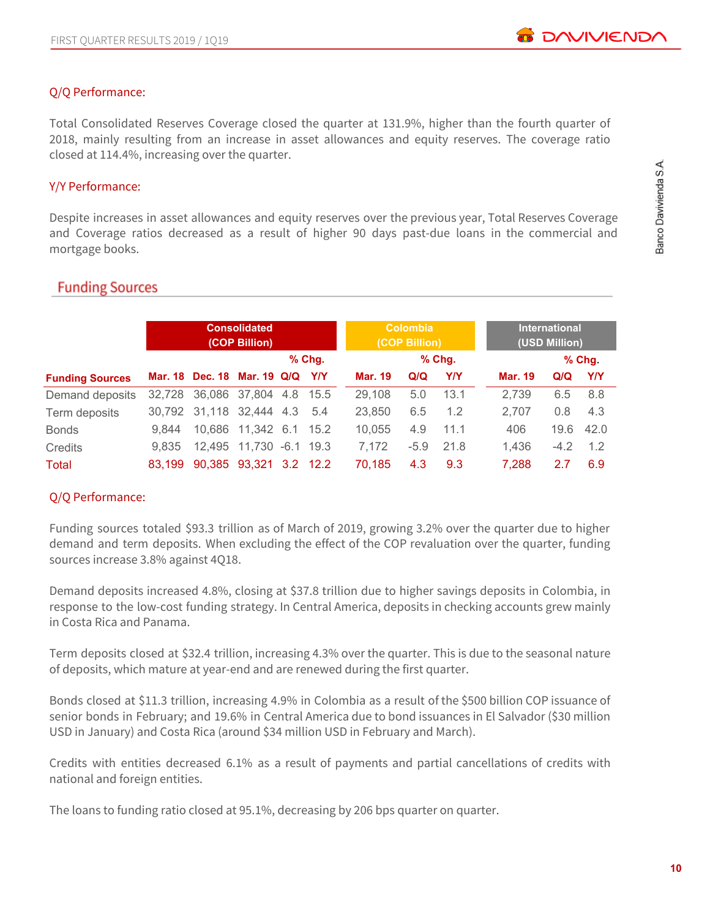## Q/Q Performance:

Total Consolidated Reserves Coverage closed the quarter at 131.9%, higher than the fourth quarter of 2018, mainly resulting from an increase in asset allowances and equity reserves. The coverage ratio closed at 114.4%, increasing over the quarter.

## Y/Y Performance:

Despite increases in asset allowances and equity reserves over the previous year, Total Reserves Coverage and Coverage ratios decreased as a result of higher 90 days past-due loans in the commercial and mortgage books.

## **Funding Sources**

|                        |        |                               | <b>Consolidated</b><br>(COP Billion) |          |                | <b>Colombia</b><br>(COP Billion) |          |                | <b>International</b><br>(USD Million) |          |
|------------------------|--------|-------------------------------|--------------------------------------|----------|----------------|----------------------------------|----------|----------------|---------------------------------------|----------|
|                        |        |                               |                                      | $%$ Chg. |                |                                  | $%$ Chg. |                |                                       | $%$ Chg. |
| <b>Funding Sources</b> |        | Mar. 18 Dec. 18 Mar. 19 Q/Q   |                                      | YN       | <b>Mar. 19</b> | Q/Q                              | Y/Y      | <b>Mar. 19</b> | Q/Q                                   | YIY      |
| Demand deposits        |        | 32,728 36,086 37,804 4.8 15.5 |                                      |          | 29,108         | 5.0                              | 13.1     | 2,739          | 6.5                                   | 8.8      |
| Term deposits          |        | 30,792 31,118 32,444 4.3      |                                      | 5.4      | 23,850         | 6.5                              | 1.2      | 2,707          | 0.8                                   | 4.3      |
| <b>Bonds</b>           | 9.844  |                               | 10.686 11.342 6.1 15.2               |          | 10,055         | 4.9                              | 11.1     | 406            | 19.6                                  | 42.0     |
| <b>Credits</b>         | 9.835  |                               | 12,495 11,730 -6.1 19.3              |          | 7,172          | $-5.9$                           | 21.8     | 1.436          | $-4.2$                                | 1.2      |
| Total                  | 83.199 |                               | 90,385 93,321 3.2 12.2               |          | 70.185         | 4.3                              | 9.3      | 7,288          | 2.7                                   | 6.9      |

## Q/Q Performance:

Funding sources totaled \$93.3 trillion as of March of 2019, growing 3.2% over the quarter due to higher demand and term deposits. When excluding the effect of the COP revaluation over the quarter, funding sources increase 3.8% against 4Q18.

Demand deposits increased 4.8%, closing at \$37.8 trillion due to higher savings deposits in Colombia, in response to the low-cost funding strategy. In Central America, deposits in checking accounts grew mainly in Costa Rica and Panama.

Term deposits closed at \$32.4 trillion, increasing 4.3% over the quarter. This is due to the seasonal nature of deposits, which mature at year-end and are renewed during the first quarter.

Bonds closed at \$11.3 trillion, increasing 4.9% in Colombia as a result of the \$500 billion COP issuance of senior bonds in February; and 19.6% in Central America due to bond issuances in El Salvador (\$30 million USD in January) and Costa Rica (around \$34 million USD in February and March).

Credits with entities decreased 6.1% as a result of payments and partial cancellations of credits with national and foreign entities.

The loans to funding ratio closed at 95.1%, decreasing by 206 bps quarter on quarter.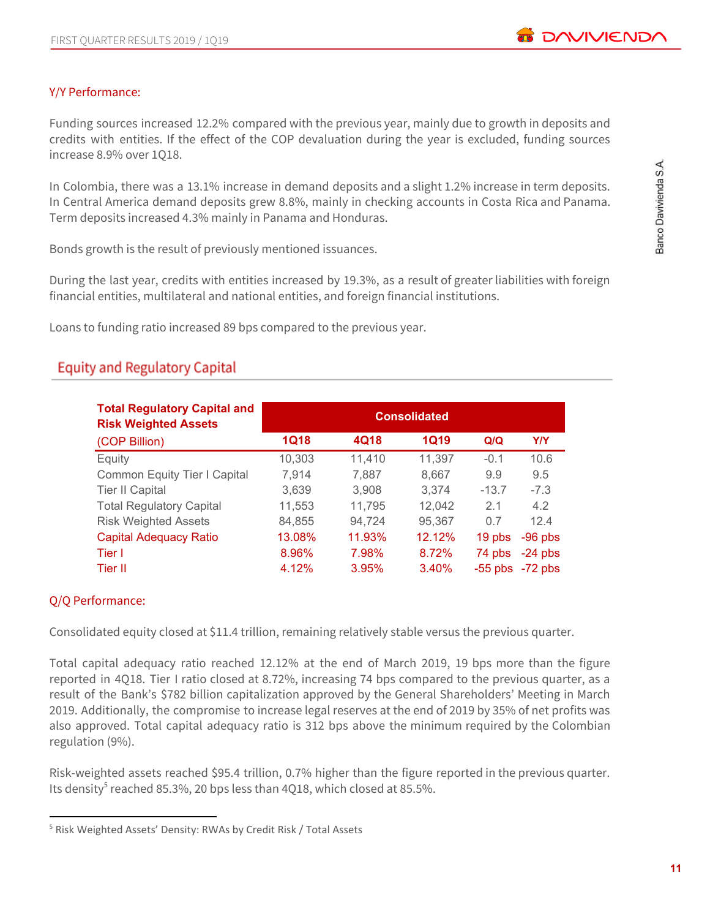

## Y/Y Performance:

Funding sources increased 12.2% compared with the previous year, mainly due to growth in deposits and credits with entities. If the effect of the COP devaluation during the year is excluded, funding sources increase 8.9% over 1Q18.

In Colombia, there was a 13.1% increase in demand deposits and a slight 1.2% increase in term deposits. In Central America demand deposits grew 8.8%, mainly in checking accounts in Costa Rica and Panama. Term deposits increased 4.3% mainly in Panama and Honduras.

Bonds growth is the result of previously mentioned issuances.

During the last year, credits with entities increased by 19.3%, as a result of greater liabilities with foreign financial entities, multilateral and national entities, and foreign financial institutions.

Loans to funding ratio increased 89 bps compared to the previous year.

# **Equity and Regulatory Capital**

| <b>Total Regulatory Capital and</b><br><b>Risk Weighted Assets</b> |             |        | <b>Consolidated</b> |                     |            |
|--------------------------------------------------------------------|-------------|--------|---------------------|---------------------|------------|
| (COP Billion)                                                      | <b>1Q18</b> | 4Q18   | <b>1Q19</b>         | Q/Q                 | <b>Y/Y</b> |
| Equity                                                             | 10,303      | 11,410 | 11,397              | $-0.1$              | 10.6       |
| Common Equity Tier I Capital                                       | 7,914       | 7,887  | 8,667               | 9.9                 | 9.5        |
| <b>Tier II Capital</b>                                             | 3,639       | 3.908  | 3.374               | $-13.7$             | $-7.3$     |
| <b>Total Regulatory Capital</b>                                    | 11,553      | 11,795 | 12,042              | 2.1                 | 4.2        |
| <b>Risk Weighted Assets</b>                                        | 84,855      | 94,724 | 95,367              | 0.7                 | 12.4       |
| <b>Capital Adequacy Ratio</b>                                      | 13.08%      | 11.93% | 12.12%              | 19 pbs              | $-96$ pbs  |
| Tier I                                                             | 8.96%       | 7.98%  | 8.72%               | 74 pbs              | $-24$ pbs  |
| Tier II                                                            | 4.12%       | 3.95%  | 3.40%               | $-55$ pbs $-72$ pbs |            |

## Q/Q Performance:

Consolidated equity closed at \$11.4 trillion, remaining relatively stable versus the previous quarter.

Total capital adequacy ratio reached 12.12% at the end of March 2019, 19 bps more than the figure reported in 4Q18. Tier I ratio closed at 8.72%, increasing 74 bps compared to the previous quarter, as a result of the Bank's \$782 billion capitalization approved by the General Shareholders' Meeting in March 2019. Additionally, the compromise to increase legal reserves at the end of 2019 by 35% of net profits was also approved. Total capital adequacy ratio is 312 bps above the minimum required by the Colombian regulation (9%).

Risk-weighted assets reached \$95.4 trillion, 0.7% higher than the figure reported in the previous quarter. Its density<sup>5</sup> reached 85.3%, 20 bps less than 4Q18, which closed at 85.5%.

<sup>5</sup> Risk Weighted Assets' Density: RWAs by Credit Risk / Total Assets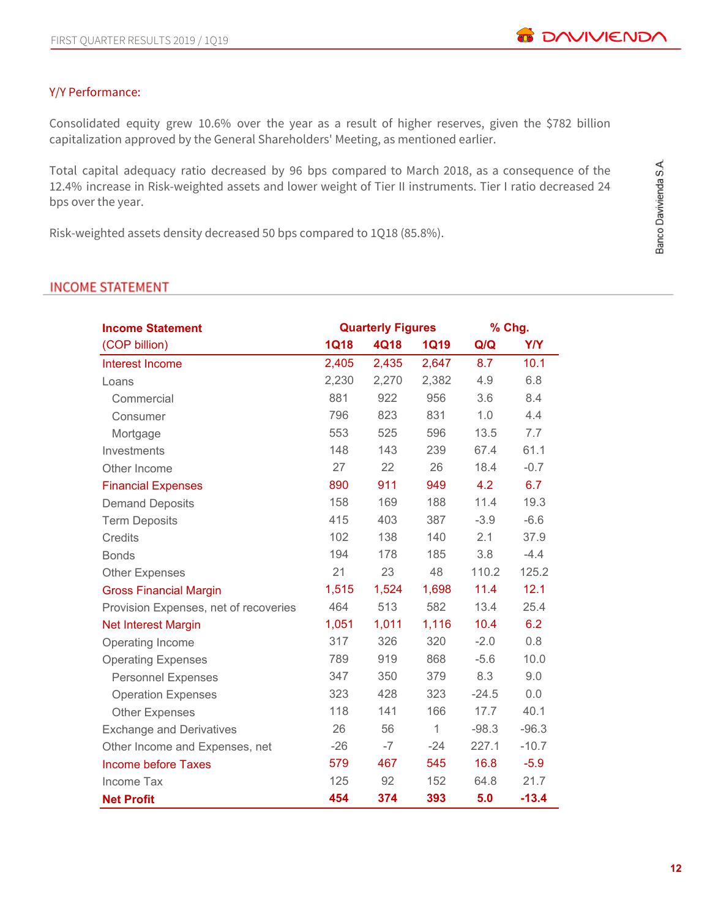## Y/Y Performance:

Consolidated equity grew 10.6% over the year as a result of higher reserves, given the \$782 billion capitalization approved by the General Shareholders' Meeting, as mentioned earlier.

Total capital adequacy ratio decreased by 96 bps compared to March 2018, as a consequence of the 12.4% increase in Risk-weighted assets and lower weight of Tier II instruments. Tier I ratio decreased 24 bps over the year.

Risk-weighted assets density decreased 50 bps compared to 1Q18 (85.8%).

#### **INCOME STATEMENT**

| <b>Income Statement</b>               |             | <b>Quarterly Figures</b> |              | % Chg.  |         |
|---------------------------------------|-------------|--------------------------|--------------|---------|---------|
| (COP billion)                         | <b>1Q18</b> | 4Q18                     | <b>1Q19</b>  | Q/Q     | Y/Y     |
| Interest Income                       | 2,405       | 2,435                    | 2,647        | 8.7     | 10.1    |
| Loans                                 | 2,230       | 2,270                    | 2,382        | 4.9     | 6.8     |
| Commercial                            | 881         | 922                      | 956          | 3.6     | 8.4     |
| Consumer                              | 796         | 823                      | 831          | 1.0     | 4.4     |
| Mortgage                              | 553         | 525                      | 596          | 13.5    | 7.7     |
| Investments                           | 148         | 143                      | 239          | 67.4    | 61.1    |
| Other Income                          | 27          | 22                       | 26           | 18.4    | $-0.7$  |
| <b>Financial Expenses</b>             | 890         | 911                      | 949          | 4.2     | 6.7     |
| <b>Demand Deposits</b>                | 158         | 169                      | 188          | 11.4    | 19.3    |
| <b>Term Deposits</b>                  | 415         | 403                      | 387          | $-3.9$  | $-6.6$  |
| <b>Credits</b>                        | 102         | 138                      | 140          | 2.1     | 37.9    |
| <b>Bonds</b>                          | 194         | 178                      | 185          | 3.8     | $-4.4$  |
| <b>Other Expenses</b>                 | 21          | 23                       | 48           | 110.2   | 125.2   |
| <b>Gross Financial Margin</b>         | 1,515       | 1,524                    | 1,698        | 11.4    | 12.1    |
| Provision Expenses, net of recoveries | 464         | 513                      | 582          | 13.4    | 25.4    |
| Net Interest Margin                   | 1,051       | 1,011                    | 1,116        | 10.4    | 6.2     |
| Operating Income                      | 317         | 326                      | 320          | $-2.0$  | 0.8     |
| <b>Operating Expenses</b>             | 789         | 919                      | 868          | $-5.6$  | 10.0    |
| <b>Personnel Expenses</b>             | 347         | 350                      | 379          | 8.3     | 9.0     |
| <b>Operation Expenses</b>             | 323         | 428                      | 323          | $-24.5$ | 0.0     |
| <b>Other Expenses</b>                 | 118         | 141                      | 166          | 17.7    | 40.1    |
| <b>Exchange and Derivatives</b>       | 26          | 56                       | $\mathbf{1}$ | $-98.3$ | $-96.3$ |
| Other Income and Expenses, net        | $-26$       | $-7$                     | $-24$        | 227.1   | $-10.7$ |
| <b>Income before Taxes</b>            | 579         | 467                      | 545          | 16.8    | $-5.9$  |
| Income Tax                            | 125         | 92                       | 152          | 64.8    | 21.7    |
| <b>Net Profit</b>                     | 454         | 374                      | 393          | 5.0     | $-13.4$ |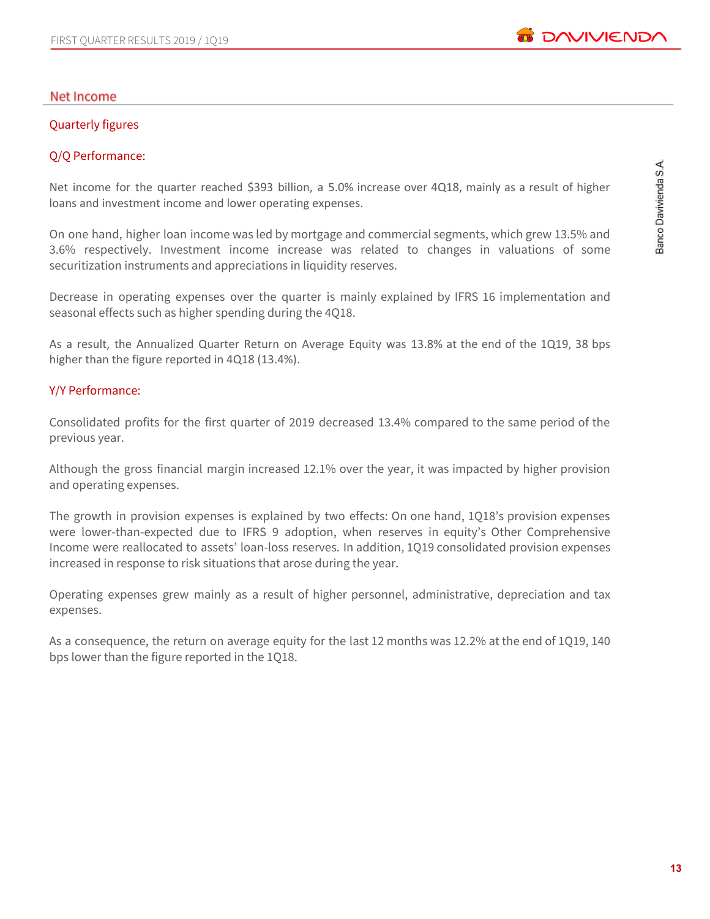#### Net Income

#### Quarterly figures

#### Q/Q Performance:

Net income for the quarter reached \$393 billion, a 5.0% increase over 4Q18, mainly as a result of higher loans and investment income and lower operating expenses.

On one hand, higher loan income was led by mortgage and commercial segments, which grew 13.5% and 3.6% respectively. Investment income increase was related to changes in valuations of some securitization instruments and appreciations in liquidity reserves.

Decrease in operating expenses over the quarter is mainly explained by IFRS 16 implementation and seasonal effects such as higher spending during the 4Q18.

As a result, the Annualized Quarter Return on Average Equity was 13.8% at the end of the 1Q19, 38 bps higher than the figure reported in 4Q18 (13.4%).

#### Y/Y Performance:

Consolidated profits for the first quarter of 2019 decreased 13.4% compared to the same period of the previous year.

Although the gross financial margin increased 12.1% over the year, it was impacted by higher provision and operating expenses.

The growth in provision expenses is explained by two effects: On one hand, 1Q18's provision expenses were lower-than-expected due to IFRS 9 adoption, when reserves in equity's Other Comprehensive Income were reallocated to assets' loan-loss reserves. In addition, 1Q19 consolidated provision expenses increased in response to risk situations that arose during the year.

Operating expenses grew mainly as a result of higher personnel, administrative, depreciation and tax expenses.

As a consequence, the return on average equity for the last 12 months was 12.2% at the end of 1Q19, 140 bps lower than the figure reported in the 1Q18.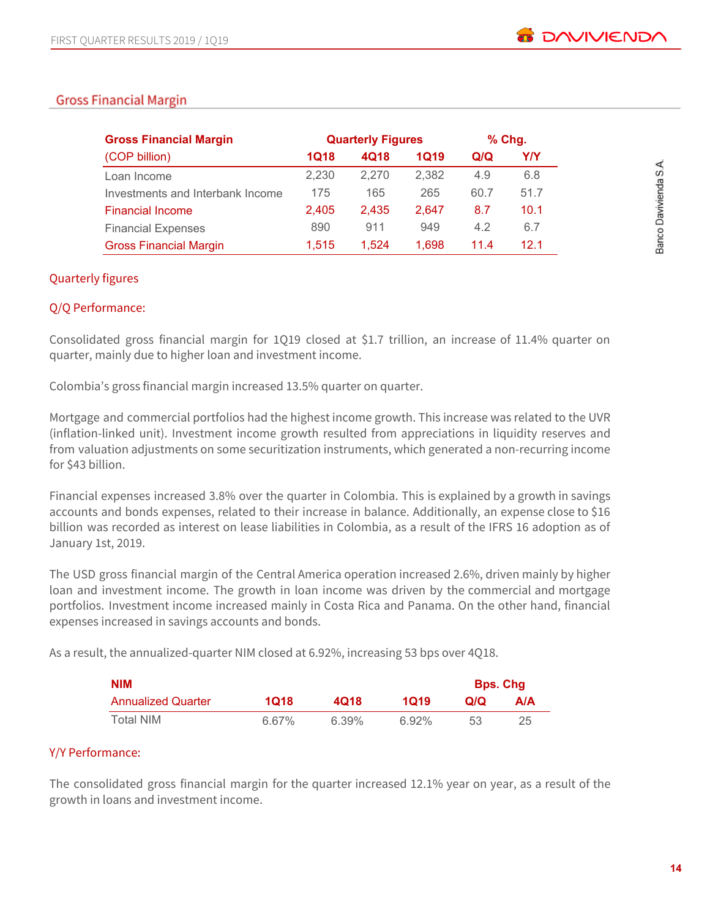## **Gross Financial Margin**

| <b>Gross Financial Margin</b>    |       | <b>Quarterly Figures</b> | $%$ Chg.    |      |      |
|----------------------------------|-------|--------------------------|-------------|------|------|
| (COP billion)                    | 1Q18  | 4Q18                     | <b>1Q19</b> | Q/Q  | Y/Y  |
| Loan Income                      | 2,230 | 2.270                    | 2,382       | 4.9  | 6.8  |
| Investments and Interbank Income | 175   | 165                      | 265         | 60.7 | 51.7 |
| <b>Financial Income</b>          | 2.405 | 2.435                    | 2.647       | 8.7  | 10.1 |
| <b>Financial Expenses</b>        | 890   | 911                      | 949         | 4.2  | 6.7  |
| <b>Gross Financial Margin</b>    | 1,515 | 1.524                    | 1.698       | 11.4 | 12 1 |

#### Quarterly figures

#### Q/Q Performance:

Consolidated gross financial margin for 1Q19 closed at \$1.7 trillion, an increase of 11.4% quarter on quarter, mainly due to higher loan and investment income.

Colombia's gross financial margin increased 13.5% quarter on quarter.

Mortgage and commercial portfolios had the highest income growth. This increase was related to the UVR (inflation-linked unit). Investment income growth resulted from appreciations in liquidity reserves and from valuation adjustments on some securitization instruments, which generated a non-recurring income for \$43 billion.

Financial expenses increased 3.8% over the quarter in Colombia. This is explained by a growth in savings accounts and bonds expenses, related to their increase in balance. Additionally, an expense close to \$16 billion was recorded as interest on lease liabilities in Colombia, as a result of the IFRS 16 adoption as of January 1st, 2019.

The USD gross financial margin of the Central America operation increased 2.6%, driven mainly by higher loan and investment income. The growth in loan income was driven by the commercial and mortgage portfolios. Investment income increased mainly in Costa Rica and Panama. On the other hand, financial expenses increased in savings accounts and bonds.

As a result, the annualized-quarter NIM closed at 6.92%, increasing 53 bps over 4Q18.

| <b>NIM</b>                |       |       |          | <b>Bps. Chg</b> |            |
|---------------------------|-------|-------|----------|-----------------|------------|
| <b>Annualized Quarter</b> | 1018  | 4018  | 1019     | Q/Q             | <b>A/A</b> |
| Total NIM                 | 6.67% | 6.39% | $6.92\%$ | 53              |            |

## Y/Y Performance:

The consolidated gross financial margin for the quarter increased 12.1% year on year, as a result of the growth in loans and investment income.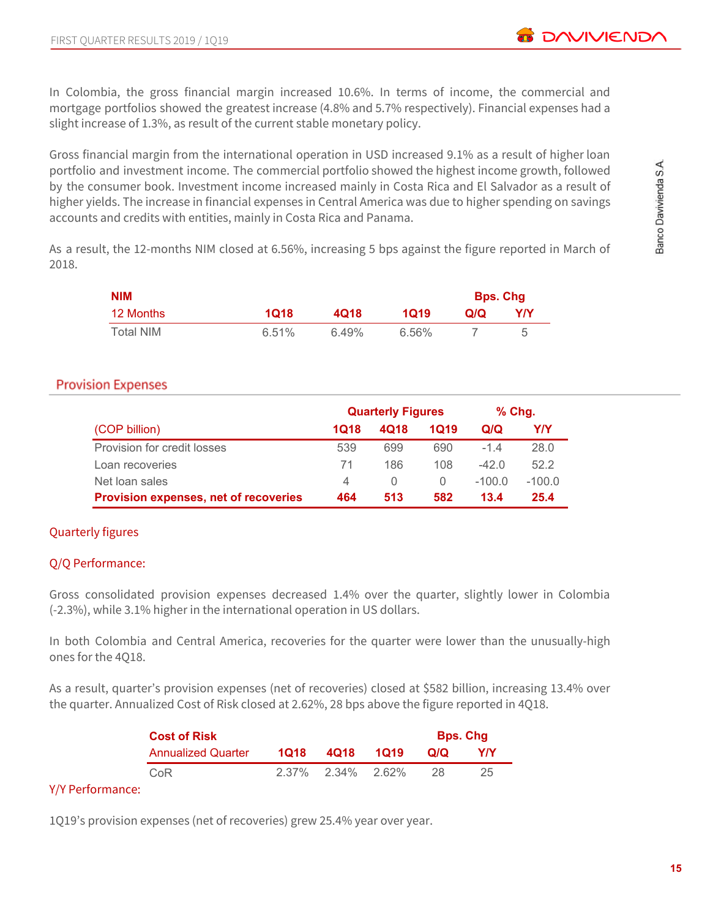In Colombia, the gross financial margin increased 10.6%. In terms of income, the commercial and mortgage portfolios showed the greatest increase (4.8% and 5.7% respectively). Financial expenses had a slight increase of 1.3%, as result of the current stable monetary policy.

Gross financial margin from the international operation in USD increased 9.1% as a result of higher loan portfolio and investment income. The commercial portfolio showed the highest income growth, followed by the consumer book. Investment income increased mainly in Costa Rica and El Salvador as a result of higher yields. The increase in financial expenses in Central America was due to higher spending on savings accounts and credits with entities, mainly in Costa Rica and Panama.

As a result, the 12-months NIM closed at 6.56%, increasing 5 bps against the figure reported in March of 2018.

| <b>NIM</b> |       |       |       | <b>Bps. Chg</b> |     |
|------------|-------|-------|-------|-----------------|-----|
| 12 Months  | 1Q18  | 4Q18  | 1019  | Q/Q             | Y/Y |
| Total NIM  | 6.51% | 6.49% | 6.56% |                 |     |

## **Provision Expenses**

|                                              | <b>Quarterly Figures</b> |                  |          | $%$ Chg. |          |
|----------------------------------------------|--------------------------|------------------|----------|----------|----------|
| (COP billion)                                | 1Q18                     | 4Q18             | 1019     | Q/Q      | Y/Y      |
| Provision for credit losses                  | 539                      | 699              | 690      | $-14$    | 28.0     |
| Loan recoveries                              | 71                       | 186              | 108      | $-420$   | 52.2     |
| Net loan sales                               | 4                        | $\left( \right)$ | $\Omega$ | $-100.0$ | $-100.0$ |
| <b>Provision expenses, net of recoveries</b> | 464                      | 513              | 582      | 13.4     | 25.4     |

## Quarterly figures

#### Q/Q Performance:

Gross consolidated provision expenses decreased 1.4% over the quarter, slightly lower in Colombia (-2.3%), while 3.1% higher in the international operation in US dollars.

In both Colombia and Central America, recoveries for the quarter were lower than the unusually-high ones for the 4Q18.

As a result, quarter's provision expenses (net of recoveries) closed at \$582 billion, increasing 13.4% over the quarter. Annualized Cost of Risk closed at 2.62%, 28 bps above the figure reported in 4Q18.

| <b>Cost of Risk</b>       |      |                            | <b>Bps. Chg</b> |     |  |
|---------------------------|------|----------------------------|-----------------|-----|--|
| <b>Annualized Quarter</b> | 1018 | 4Q18 1Q19                  | Q/Q             | Y/Y |  |
| CoR                       |      | $2.37\%$ $2.34\%$ $2.62\%$ | -28             | 25  |  |

## Y/Y Performance:

1Q19's provision expenses (net of recoveries) grew 25.4% year over year.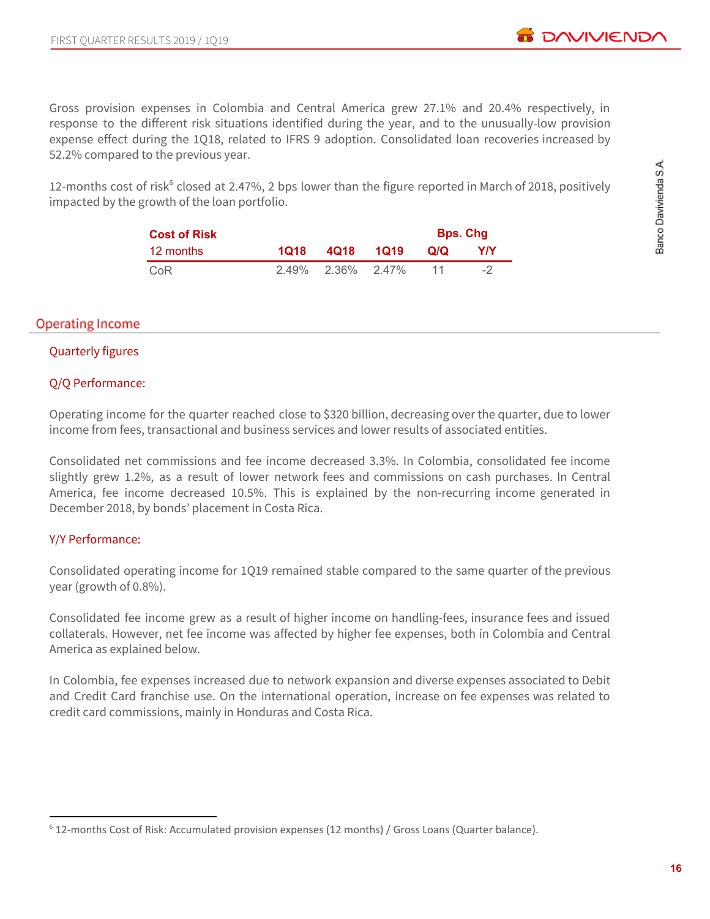Gross provision expenses in Colombia and Central America grew 27.1% and 20.4% respectively, in response to the different risk situations identified during the year, and to the unusually-low provision expense effect during the 1Q18, related to IFRS 9 adoption. Consolidated loan recoveries increased by 52.2% compared to the previous year.

12-months cost of risk<sup>6</sup> closed at 2.47%, 2 bps lower than the figure reported in March of 2018, positively impacted by the growth of the loan portfolio.

| <b>Cost of Risk</b> |      |                   |     | <b>Bps. Chg</b> |
|---------------------|------|-------------------|-----|-----------------|
| 12 months           | 1018 | 4018 1019         | Q/Q | Y/Y             |
| CoR                 |      | 2.49% 2.36% 2.47% |     |                 |

## **Operating Income**

#### Quarterly figures

#### Q/Q Performance:

Operating income for the quarter reached close to \$320 billion, decreasing over the quarter, due to lower income from fees, transactional and business services and lower results of associated entities.

Consolidated net commissions and fee income decreased 3.3%. In Colombia, consolidated fee income slightly grew 1.2%, as a result of lower network fees and commissions on cash purchases. In Central America, fee income decreased 10.5%. This is explained by the non-recurring income generated in December 2018, by bonds' placement in Costa Rica.

## Y/Y Performance:

Consolidated operating income for 1Q19 remained stable compared to the same quarter of the previous year (growth of 0.8%).

Consolidated fee income grew as a result of higher income on handling-fees, insurance fees and issued collaterals. However, net fee income was affected by higher fee expenses, both in Colombia and Central America as explained below.

In Colombia, fee expenses increased due to network expansion and diverse expenses associated to Debit and Credit Card franchise use. On the international operation, increase on fee expenses was related to credit card commissions, mainly in Honduras and Costa Rica.

<sup>6</sup> 12-months Cost of Risk: Accumulated provision expenses (12 months) / Gross Loans (Quarter balance).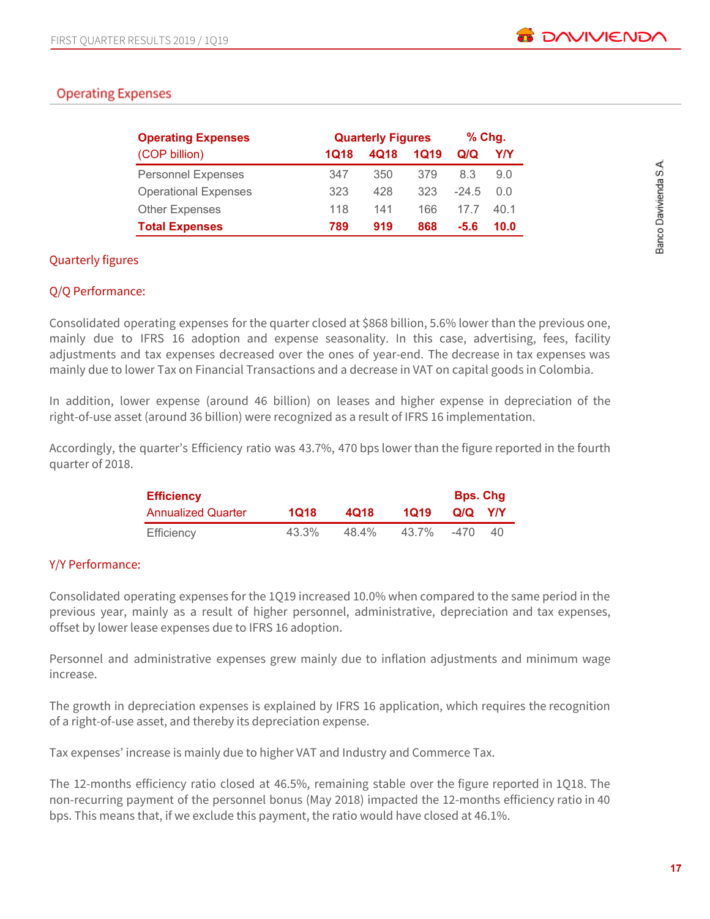## **Operating Expenses**

| <b>Operating Expenses</b>   | <b>Quarterly Figures</b> |      |      | $%$ Chg. |      |
|-----------------------------|--------------------------|------|------|----------|------|
| (COP billion)               | 1Q18                     | 4018 | 1019 | Q/Q      | Y/Y  |
| <b>Personnel Expenses</b>   | 347                      | 350  | 379  | 8.3      | 9.0  |
| <b>Operational Expenses</b> | 323                      | 428  | 323  | $-24.5$  | 0.0  |
| <b>Other Expenses</b>       | 118                      | 141  | 166  | 17 7     | 40.1 |
| <b>Total Expenses</b>       | 789                      | 919  | 868  | -5.6     | 10.0 |

#### Quarterly figures

#### Q/Q Performance:

Consolidated operating expenses for the quarter closed at \$868 billion, 5.6% lower than the previous one, mainly due to IFRS 16 adoption and expense seasonality. In this case, advertising, fees, facility adjustments and tax expenses decreased over the ones of year-end. The decrease in tax expenses was mainly due to lower Tax on Financial Transactions and a decrease in VAT on capital goods in Colombia.

In addition, lower expense (around 46 billion) on leases and higher expense in depreciation of the right-of-use asset (around 36 billion) were recognized as a result of IFRS 16 implementation.

Accordingly, the quarter's Efficiency ratio was 43.7%, 470 bps lower than the figure reported in the fourth quarter of 2018.

| <b>Efficiency</b>  |       |       |       | <b>Bps. Chg</b> |            |  |
|--------------------|-------|-------|-------|-----------------|------------|--|
| Annualized Quarter | 1018  | 4018  | 1019  | Q/Q             | <b>YIY</b> |  |
| Efficiency         | 43.3% | 48.4% | 43.7% | $-470$          | 40         |  |

#### Y/Y Performance:

Consolidated operating expenses for the 1Q19 increased 10.0% when compared to the same period in the previous year, mainly as a result of higher personnel, administrative, depreciation and tax expenses, offset by lower lease expenses due to IFRS 16 adoption.

Personnel and administrative expenses grew mainly due to inflation adjustments and minimum wage increase.

The growth in depreciation expenses is explained by IFRS 16 application, which requires the recognition of a right-of-use asset, and thereby its depreciation expense.

Tax expenses' increase is mainly due to higher VAT and Industry and Commerce Tax.

The 12-months efficiency ratio closed at 46.5%, remaining stable over the figure reported in 1Q18. The non-recurring payment of the personnel bonus (May 2018) impacted the 12-months efficiency ratio in 40 bps. This means that, if we exclude this payment, the ratio would have closed at 46.1%.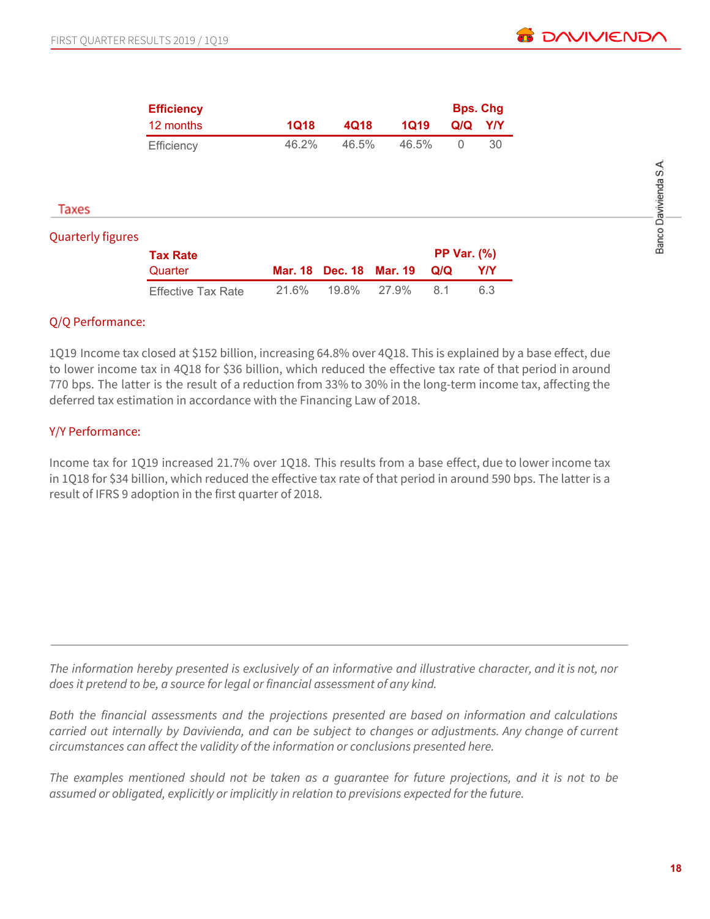Banco Davivienda S.A.

|                          | <b>Efficiency</b> |             |                |                |     | <b>Bps. Chg</b>    |
|--------------------------|-------------------|-------------|----------------|----------------|-----|--------------------|
|                          | 12 months         | <b>1Q18</b> | 4Q18           | <b>1Q19</b>    | Q/Q | Y/Y                |
|                          | Efficiency        | 46.2%       | 46.5%          | 46.5%          | 0   | 30                 |
|                          |                   |             |                |                |     |                    |
|                          |                   |             |                |                |     |                    |
| Taxes                    |                   |             |                |                |     |                    |
| <b>Quarterly figures</b> |                   |             |                |                |     |                    |
|                          | <b>Tax Rate</b>   |             |                |                |     | <b>PP Var. (%)</b> |
|                          | Quarter           | Mar. 18     | <b>Dec. 18</b> | <b>Mar. 19</b> | Q/Q | Y/Y                |

## Q/Q Performance:

1Q19 Income tax closed at \$152 billion, increasing 64.8% over 4Q18. This is explained by a base effect, due to lower income tax in 4Q18 for \$36 billion, which reduced the effective tax rate of that period in around 770 bps. The latter is the result of a reduction from 33% to 30% in the long-term income tax, affecting the deferred tax estimation in accordance with the Financing Law of 2018.

Effective Tax Rate 21.6% 19.8% 27.9% 8.1 6.3

## Y/Y Performance:

Income tax for 1Q19 increased 21.7% over 1Q18. This results from a base effect, due to lower income tax in 1Q18 for \$34 billion, which reduced the effective tax rate of that period in around 590 bps. The latter is a result of IFRS 9 adoption in the first quarter of 2018.

The information hereby presented is exclusively of an informative and illustrative character, and it is not, nor *does it pretend to be, a source for legal or financial assessment of any kind.*

*Both the financial assessments and the projections presented are based on information and calculations carried out internally by Davivienda, and can be subject to changes or adjustments. Any change of current circumstances can affect the validity of the information or conclusions presented here.*

The examples mentioned should not be taken as a guarantee for future projections, and it is not to be *assumed or obligated, explicitly or implicitly in relation to previsions expected for the future.*

**18**